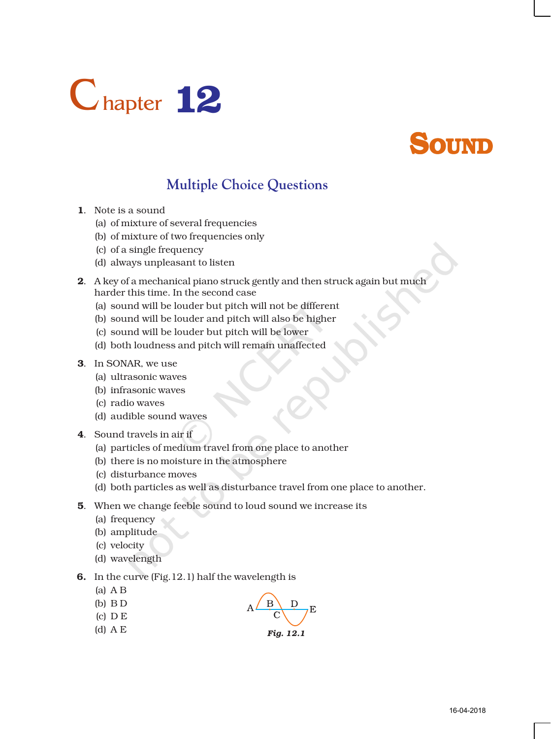



## **Multiple Choice Questions**

- 1. Note is a sound
	- (a) of mixture of several frequencies
	- (b) of mixture of two frequencies only
	- (c) of a single frequency
	- (d) always unpleasant to listen
- 2. A key of a mechanical piano struck gently and then struck again but much harder this time. In the second case
	- (a) sound will be louder but pitch will not be different
	- (b) sound will be louder and pitch will also be higher
	- (c) sound will be louder but pitch will be lower
	- (d) both loudness and pitch will remain unaffected
- 3. In SONAR, we use
	- (a) ultrasonic waves
	- (b) infrasonic waves
	- (c) radio waves
	- (d) audible sound waves
- 4. Sound travels in air if
	- (a) particles of medium travel from one place to another
	- (b) there is no moisture in the atmosphere
	- (c) disturbance moves
	- (d) both particles as well as disturbance travel from one place to another.
- 5. When we change feeble sound to loud sound we increase its
	- (a) frequency
	- (b) amplitude
	- (c) velocity
	- (d) wavelength
- 6. In the curve (Fig.12.1) half the wavelength is
	- (a) A B
	- (b) B D (c) D E
- 
- (d) A E *Fig. 12.1*



E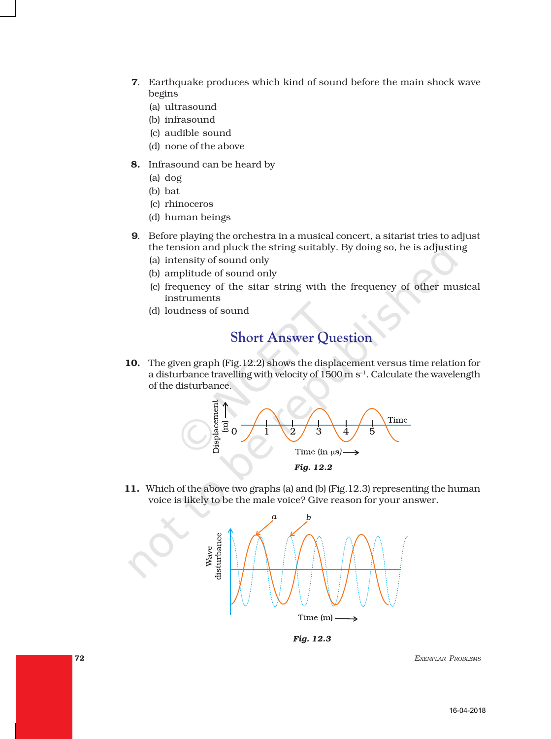- 7. Earthquake produces which kind of sound before the main shock wave begins
	- (a) ultrasound
	- (b) infrasound
	- (c) audible sound
	- (d) none of the above
- 8. Infrasound can be heard by
	- (a) dog
	- (b) bat
	- (c) rhinoceros
	- (d) human beings
- 9. Before playing the orchestra in a musical concert, a sitarist tries to adjust the tension and pluck the string suitably. By doing so, he is adjusting
	- (a) intensity of sound only
	- (b) amplitude of sound only
	- (c) frequency of the sitar string with the frequency of other musical instruments
	- (d) loudness of sound

## **Short Answer Question**

10. The given graph (Fig.12.2) shows the displacement versus time relation for a disturbance travelling with velocity of 1500 m s<sup>-1</sup>. Calculate the wavelength of the disturbance.



11. Which of the above two graphs (a) and (b) (Fig.12.3) representing the human voice is likely to be the male voice? Give reason for your answer.



*Fig. 12.3*

72 *EXEMPLAR PROBLEMS*